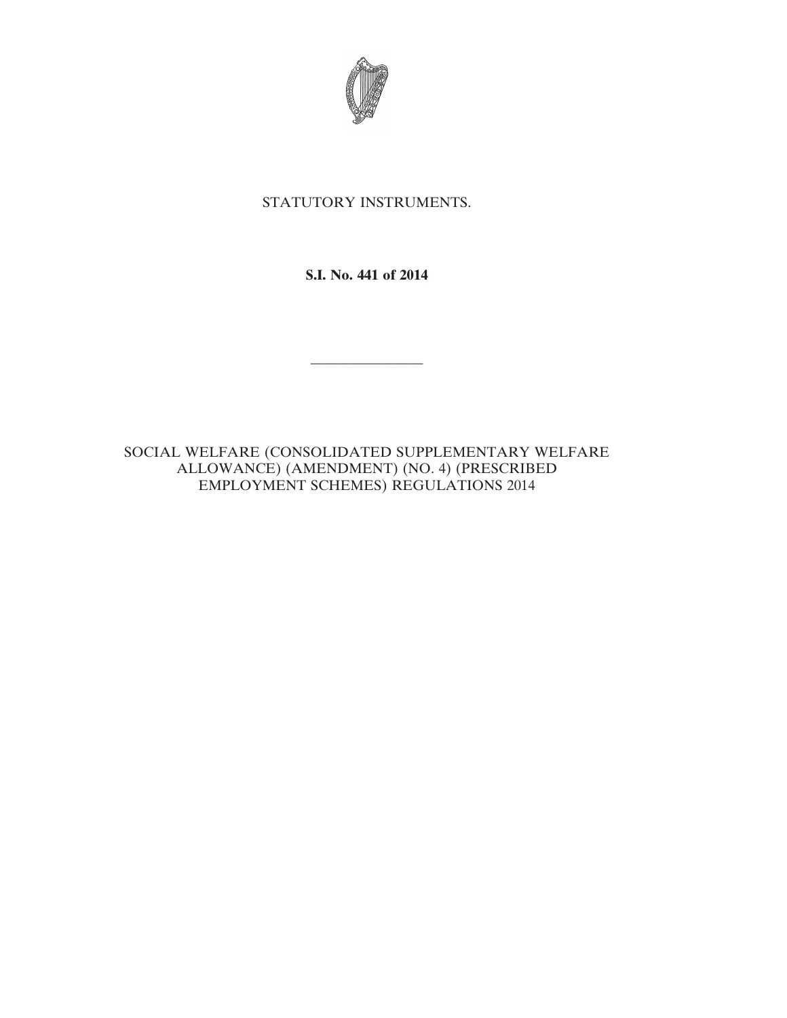

# STATUTORY INSTRUMENTS.

**S.I. No. 441 of 2014**

————————

SOCIAL WELFARE (CONSOLIDATED SUPPLEMENTARY WELFARE ALLOWANCE) (AMENDMENT) (NO. 4) (PRESCRIBED EMPLOYMENT SCHEMES) REGULATIONS 2014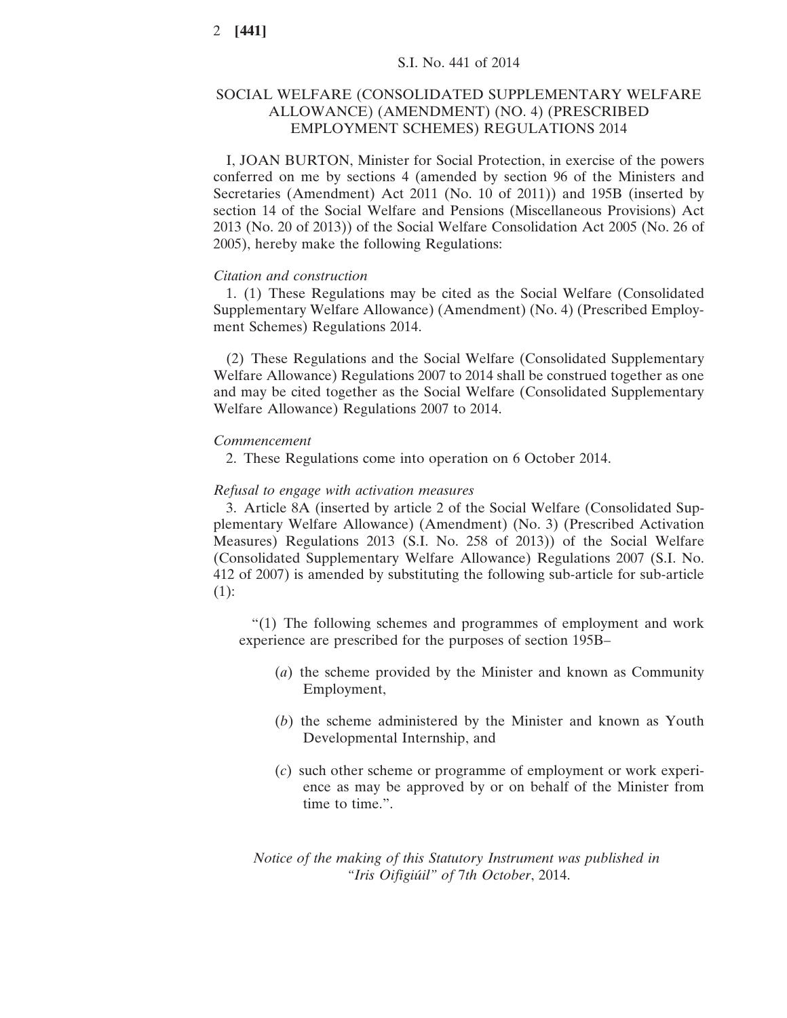# SOCIAL WELFARE (CONSOLIDATED SUPPLEMENTARY WELFARE ALLOWANCE) (AMENDMENT) (NO. 4) (PRESCRIBED EMPLOYMENT SCHEMES) REGULATIONS 2014

I, JOAN BURTON, Minister for Social Protection, in exercise of the powers conferred on me by sections 4 (amended by section 96 of the Ministers and Secretaries (Amendment) Act 2011 (No. 10 of 2011)) and 195B (inserted by section 14 of the Social Welfare and Pensions (Miscellaneous Provisions) Act 2013 (No. 20 of 2013)) of the Social Welfare Consolidation Act 2005 (No. 26 of 2005), hereby make the following Regulations:

#### *Citation and construction*

1. (1) These Regulations may be cited as the Social Welfare (Consolidated Supplementary Welfare Allowance) (Amendment) (No. 4) (Prescribed Employment Schemes) Regulations 2014.

(2) These Regulations and the Social Welfare (Consolidated Supplementary Welfare Allowance) Regulations 2007 to 2014 shall be construed together as one and may be cited together as the Social Welfare (Consolidated Supplementary Welfare Allowance) Regulations 2007 to 2014.

#### *Commencement*

2. These Regulations come into operation on 6 October 2014.

#### *Refusal to engage with activation measures*

3. Article 8A (inserted by article 2 of the Social Welfare (Consolidated Supplementary Welfare Allowance) (Amendment) (No. 3) (Prescribed Activation Measures) Regulations 2013 (S.I. No. 258 of 2013)) of the Social Welfare (Consolidated Supplementary Welfare Allowance) Regulations 2007 (S.I. No. 412 of 2007) is amended by substituting the following sub-article for sub-article (1):

"(1) The following schemes and programmes of employment and work experience are prescribed for the purposes of section 195B–

- (*a*) the scheme provided by the Minister and known as Community Employment,
- (*b*) the scheme administered by the Minister and known as Youth Developmental Internship, and
- (*c*) such other scheme or programme of employment or work experience as may be approved by or on behalf of the Minister from time to time.".

*Notice of the making of this Statutory Instrument was published in "Iris Oifigiúil" of* 7*th October*, 2014.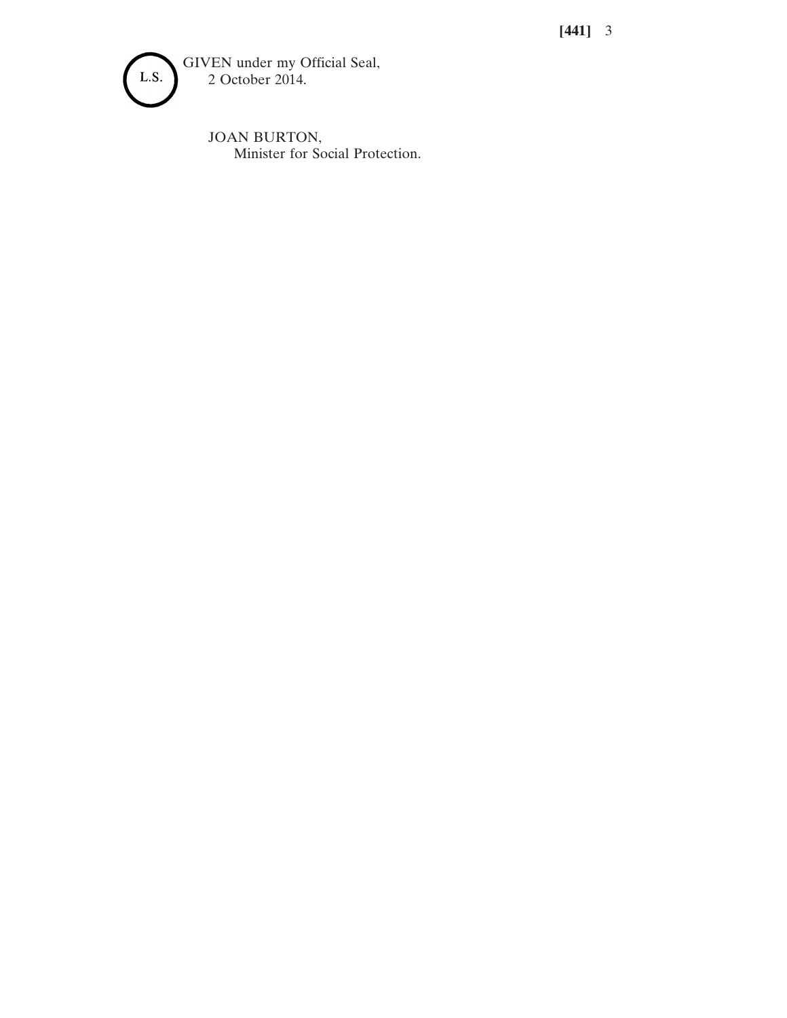**[441]** 3



JOAN BURTON, Minister for Social Protection.